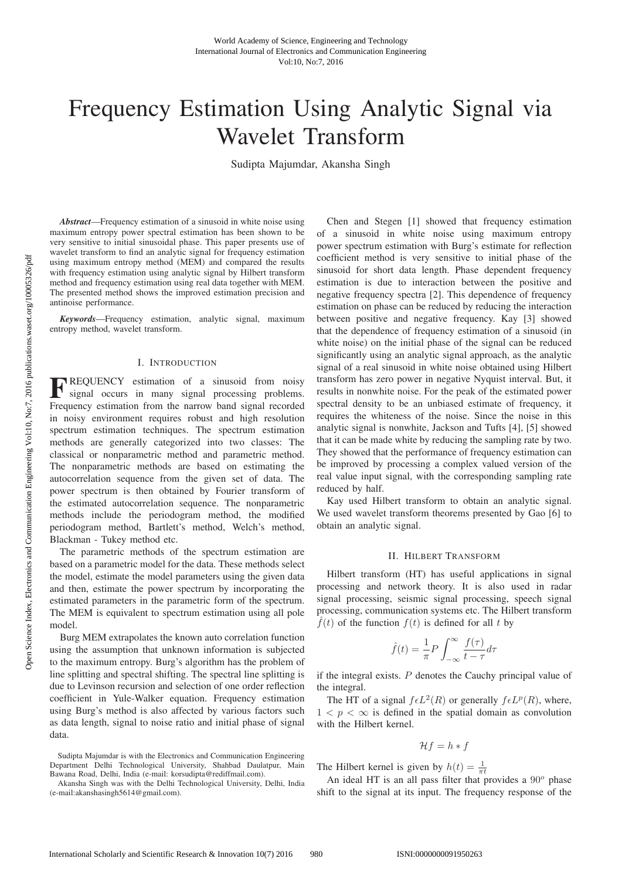# Frequency Estimation Using Analytic Signal via Wavelet Transform

Sudipta Majumdar, Akansha Singh

*Abstract*—Frequency estimation of a sinusoid in white noise using maximum entropy power spectral estimation has been shown to be very sensitive to initial sinusoidal phase. This paper presents use of wavelet transform to find an analytic signal for frequency estimation using maximum entropy method (MEM) and compared the results with frequency estimation using analytic signal by Hilbert transform method and frequency estimation using real data together with MEM. The presented method shows the improved estimation precision and antinoise performance.

*Keywords*—Frequency estimation, analytic signal, maximum entropy method, wavelet transform.

### I. INTRODUCTION

**F**REQUENCY estimation of a sinusoid from noisy signal occurs in many signal processing problems. Frequency estimation from the narrow band signal recorded in noisy environment requires robust and high resolution spectrum estimation techniques. The spectrum estimation methods are generally categorized into two classes: The classical or nonparametric method and parametric method. The nonparametric methods are based on estimating the autocorrelation sequence from the given set of data. The power spectrum is then obtained by Fourier transform of the estimated autocorrelation sequence. The nonparametric methods include the periodogram method, the modified periodogram method, Bartlett's method, Welch's method, Blackman - Tukey method etc.

The parametric methods of the spectrum estimation are based on a parametric model for the data. These methods select the model, estimate the model parameters using the given data and then, estimate the power spectrum by incorporating the estimated parameters in the parametric form of the spectrum. The MEM is equivalent to spectrum estimation using all pole model.

Burg MEM extrapolates the known auto correlation function using the assumption that unknown information is subjected to the maximum entropy. Burg's algorithm has the problem of line splitting and spectral shifting. The spectral line splitting is due to Levinson recursion and selection of one order reflection coefficient in Yule-Walker equation. Frequency estimation using Burg's method is also affected by various factors such as data length, signal to noise ratio and initial phase of signal data.

Sudipta Majumdar is with the Electronics and Communication Engineering Department Delhi Technological University, Shahbad Daulatpur, Main Bawana Road, Delhi, India (e-mail: korsudipta@rediffmail.com).

Akansha Singh was with the Delhi Technological University, Delhi, India (e-mail:akanshasingh5614@gmail.com).

Chen and Stegen [1] showed that frequency estimation of a sinusoid in white noise using maximum entropy power spectrum estimation with Burg's estimate for reflection coefficient method is very sensitive to initial phase of the sinusoid for short data length. Phase dependent frequency estimation is due to interaction between the positive and negative frequency spectra [2]. This dependence of frequency estimation on phase can be reduced by reducing the interaction between positive and negative frequency. Kay [3] showed that the dependence of frequency estimation of a sinusoid (in white noise) on the initial phase of the signal can be reduced significantly using an analytic signal approach, as the analytic signal of a real sinusoid in white noise obtained using Hilbert transform has zero power in negative Nyquist interval. But, it results in nonwhite noise. For the peak of the estimated power spectral density to be an unbiased estimate of frequency, it requires the whiteness of the noise. Since the noise in this analytic signal is nonwhite, Jackson and Tufts [4], [5] showed that it can be made white by reducing the sampling rate by two. They showed that the performance of frequency estimation can be improved by processing a complex valued version of the real value input signal, with the corresponding sampling rate reduced by half.

Kay used Hilbert transform to obtain an analytic signal. We used wavelet transform theorems presented by Gao [6] to obtain an analytic signal.

# II. HILBERT TRANSFORM

Hilbert transform (HT) has useful applications in signal processing and network theory. It is also used in radar signal processing, seismic signal processing, speech signal processing, communication systems etc. The Hilbert transform  $\hat{f}(t)$  of the function  $f(t)$  is defined for all t by

$$
\hat{f}(t) = \frac{1}{\pi} P \int_{-\infty}^{\infty} \frac{f(\tau)}{t - \tau} d\tau
$$

if the integral exists.  $P$  denotes the Cauchy principal value of the integral.

The HT of a signal  $f \in L^2(R)$  or generally  $f \in L^p(R)$ , where,  $1 < p < \infty$  is defined in the spatial domain as convolution with the Hilbert kernel.

$$
\mathcal{H}f=h*f
$$

The Hilbert kernel is given by  $h(t) = \frac{1}{\pi t}$ 

An ideal HT is an all pass filter that provides a  $90^{\circ}$  phase shift to the signal at its input. The frequency response of the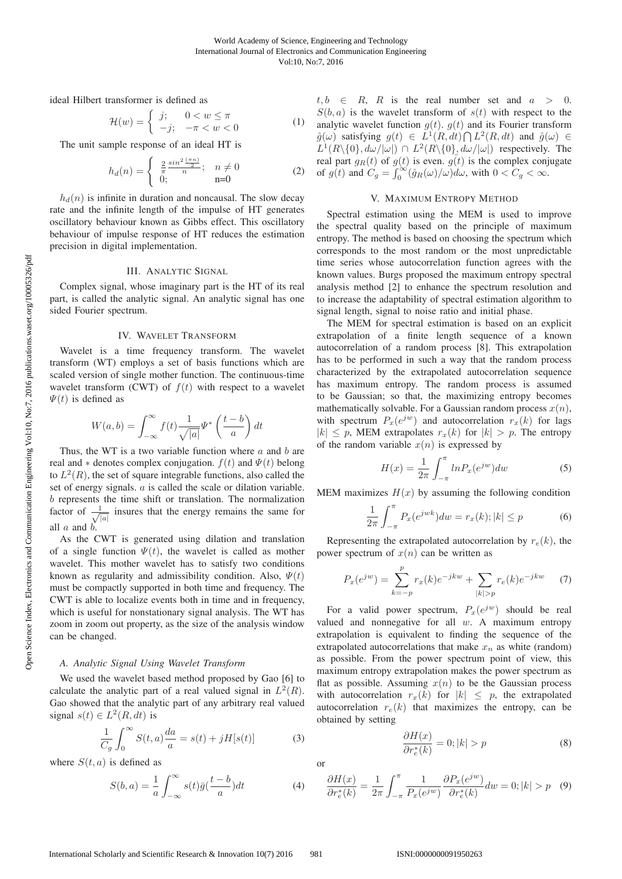ideal Hilbert transformer is defined as

$$
\mathcal{H}(w) = \begin{cases} j; & 0 < w \le \pi \\ -j; & -\pi < w < 0 \end{cases} \tag{1}
$$

The unit sample response of an ideal HT is

$$
h_d(n) = \begin{cases} \frac{2}{\pi} \frac{\sin^2(\pi n)}{n}; & n \neq 0\\ 0; & n = 0 \end{cases}
$$
 (2)

 $h_d(n)$  is infinite in duration and noncausal. The slow decay rate and the infinite length of the impulse of HT generates oscillatory behaviour known as Gibbs effect. This oscillatory behaviour of impulse response of HT reduces the estimation precision in digital implementation.

### III. ANALYTIC SIGNAL

Complex signal, whose imaginary part is the HT of its real part, is called the analytic signal. An analytic signal has one sided Fourier spectrum.

#### IV. WAVELET TRANSFORM

Wavelet is a time frequency transform. The wavelet transform (WT) employs a set of basis functions which are scaled version of single mother function. The continuous-time wavelet transform (CWT) of  $f(t)$  with respect to a wavelet  $\Psi(t)$  is defined as

$$
W(a,b) = \int_{-\infty}^{\infty} f(t) \frac{1}{\sqrt{|a|}} \Psi^* \left(\frac{t-b}{a}\right) dt
$$

Thus, the WT is a two variable function where  $a$  and  $b$  are real and  $*$  denotes complex conjugation.  $f(t)$  and  $\Psi(t)$  belong to  $L^2(R)$ , the set of square integrable functions, also called the set of energy signals. a is called the scale or dilation variable. b represents the time shift or translation. The normalization factor of  $\frac{1}{\sqrt{|a|}}$  insures that the energy remains the same for all  $\alpha$  and  $\ddot{b}$ .

As the CWT is generated using dilation and translation of a single function  $\Psi(t)$ , the wavelet is called as mother wavelet. This mother wavelet has to satisfy two conditions known as regularity and admissibility condition. Also,  $\Psi(t)$ must be compactly supported in both time and frequency. The CWT is able to localize events both in time and in frequency, which is useful for nonstationary signal analysis. The WT has zoom in zoom out property, as the size of the analysis window can be changed.

*A. Analytic Signal Using Wavelet Transform* We used the wavelet based method proposed by Gao [6] to calculate the analytic part of a real valued signal in  $L^2(R)$ . Gao showed that the analytic part of any arbitrary real valued signal  $s(t) \in L^2(R, dt)$  is

$$
\frac{1}{C_g} \int_0^\infty S(t, a) \frac{da}{a} = s(t) + jH[s(t)] \tag{3}
$$

where  $S(t, a)$  is defined as

$$
S(b,a) = \frac{1}{a} \int_{-\infty}^{\infty} s(t)\bar{g}(\frac{t-b}{a})dt
$$
 (4)

 $t, b \in R$ , R is the real number set and  $a > 0$ .  $S(b, a)$  is the wavelet transform of  $s(t)$  with respect to the analytic wavelet function  $g(t)$ .  $g(t)$  and its Fourier transform  $\hat{g}(\omega)$  satisfying  $g(t) \in L^1(R, dt) \cap L^2(R, dt)$  and  $\hat{g}(\omega) \in$  $L^1(R\setminus\{0\}, d\omega/|\omega|) \cap L^2(R\setminus\{0\}, d\omega/|\omega|)$  respectively. The real part  $g_R(t)$  of  $g(t)$  is even.  $g(t)$  is the complex conjugate of  $g(t)$  and  $C_g = \int_0^\infty (\hat{g}_R(\omega)/\omega) d\omega$ , with  $0 < C_g < \infty$ .

#### V. MAXIMUM ENTROPY METHOD

Spectral estimation using the MEM is used to improve the spectral quality based on the principle of maximum entropy. The method is based on choosing the spectrum which corresponds to the most random or the most unpredictable time series whose autocorrelation function agrees with the known values. Burgs proposed the maximum entropy spectral analysis method [2] to enhance the spectrum resolution and to increase the adaptability of spectral estimation algorithm to signal length, signal to noise ratio and initial phase.

The MEM for spectral estimation is based on an explicit extrapolation of a finite length sequence of a known autocorrelation of a random process [8]. This extrapolation has to be performed in such a way that the random process characterized by the extrapolated autocorrelation sequence has maximum entropy. The random process is assumed to be Gaussian; so that, the maximizing entropy becomes mathematically solvable. For a Gaussian random process  $x(n)$ , with spectrum  $P_x(e^{jw})$  and autocorrelation  $r_x(k)$  for lags  $|k| \leq p$ , MEM extrapolates  $r_x(k)$  for  $|k| > p$ . The entropy of the random variable  $x(n)$  is expressed by

$$
H(x) = \frac{1}{2\pi} \int_{-\pi}^{\pi} \ln P_x(e^{jw}) dw \tag{5}
$$

MEM maximizes  $H(x)$  by assuming the following condition

$$
\frac{1}{2\pi} \int_{-\pi}^{\pi} P_x(e^{jwk}) dw = r_x(k); |k| \le p \tag{6}
$$

Representing the extrapolated autocorrelation by  $r_e(k)$ , the power spectrum of  $x(n)$  can be written as

$$
P_x(e^{jw}) = \sum_{k=-p}^{p} r_x(k)e^{-jkw} + \sum_{|k|>p} r_e(k)e^{-jkw} \tag{7}
$$

For a valid power spectrum,  $P_x(e^{jw})$  should be real valued and nonnegative for all  $w$ . A maximum entropy extrapolation is equivalent to finding the sequence of the extrapolated autocorrelations that make  $x_n$  as white (random) as possible. From the power spectrum point of view, this maximum entropy extrapolation makes the power spectrum as flat as possible. Assuming  $x(n)$  to be the Gaussian process with autocorrelation  $r_x(k)$  for  $|k| \leq p$ , the extrapolated autocorrelation  $r_e(k)$  that maximizes the entropy, can be obtained by setting

$$
\frac{\partial H(x)}{\partial r_e^*(k)} = 0; |k| > p \tag{8}
$$

or

$$
\frac{\partial H(x)}{\partial r_e^*(k)} = \frac{1}{2\pi} \int_{-\pi}^{\pi} \frac{1}{P_x(e^{jw})} \frac{\partial P_x(e^{jw})}{\partial r_e^*(k)} dw = 0; |k| > p \quad (9)
$$

Open Science Index, Electronics and Communication Engineering Vol:10, No:7, 2016 publications.waset.org/10005326/pdf Open Science Index, Electronics and Communication Engineering Vol:10, No:7, 2016 publications.waset.org/10005326/pdf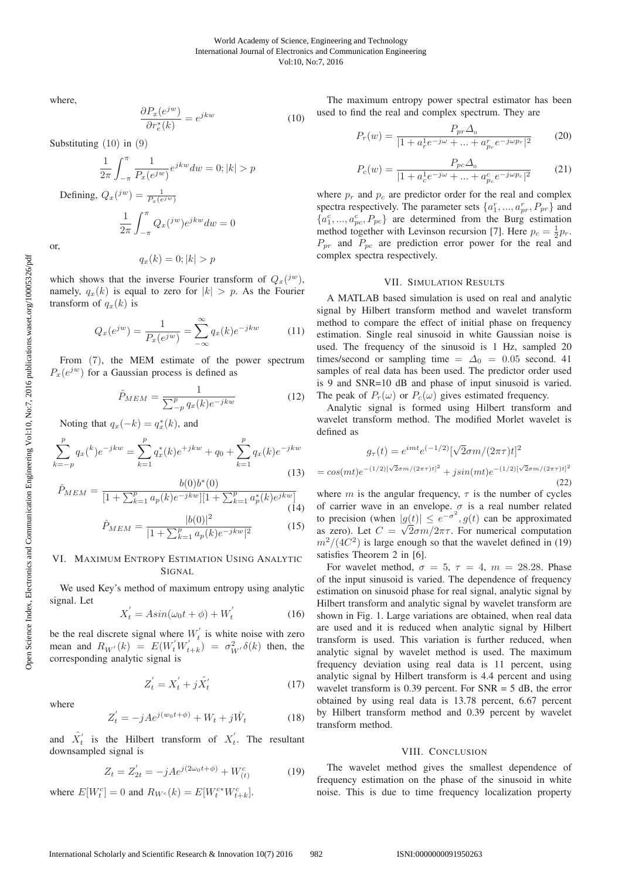where,

$$
\frac{\partial P_x(e^{jw})}{\partial r_e^*(k)} = e^{jkw} \tag{10}
$$

Substituting (10) in (9)

$$
\frac{1}{2\pi} \int_{-\pi}^{\pi} \frac{1}{P_x(e^{jw})} e^{jkw} dw = 0; |k| > p
$$
  
Defining,  $Q_x(\binom{jw}{k}) = \frac{1}{P_x(e^{jw})}$   

$$
\frac{1}{2\pi} \int_{-\pi}^{\pi} Q_x(\binom{jw}{k}) e^{jkw} dw = 0
$$

or,

$$
q_x(k) = 0; |k| > p
$$

which shows that the inverse Fourier transform of  $Q_x(i^w)$ , namely,  $q_x(k)$  is equal to zero for  $|k| > p$ . As the Fourier transform of  $q_x(k)$  is

$$
Q_x(e^{jw}) = \frac{1}{P_x(e^{jw})} = \sum_{-\infty}^{\infty} q_x(k)e^{-jkw}
$$
 (11)

From (7), the MEM estimate of the power spectrum  $P_x(e^{jw})$  for a Gaussian process is defined as

$$
\hat{P}_{MEM} = \frac{1}{\sum_{-p}^{p} q_x(k)e^{-jkw}} \tag{12}
$$

Noting that  $q_x(-k) = q_x^*(k)$ , and

$$
\sum_{k=-p}^{p} q_x(k)e^{-jkw} = \sum_{k=1}^{p} q_x^*(k)e^{+jkw} + q_0 + \sum_{k=1}^{p} q_x(k)e^{-jkw}
$$
\n(13)

$$
\hat{P}_{MEM} = \frac{b(0)b^*(0)}{[1 + \sum_{k=1}^p a_p(k)e^{-jkw}][1 + \sum_{k=1}^p a_p^*(k)e^{jkw}]}
$$
\n(14)

$$
\hat{P}_{MEM} = \frac{|b(0)|^2}{|1 + \sum_{k=1}^p a_p(k)e^{-jkw}|^2}
$$
(15)

## VI. MAXIMUM ENTROPY ESTIMATION USING ANALYTIC **SIGNAL**

We used Key's method of maximum entropy using analytic signal. Let

$$
X_t' = Asin(\omega_0 t + \phi) + W_t'
$$
 (16)

be the real discrete signal where  $W_t$  is white noise with zero mean and  $R_{W'}(k) = E(W_t' W_{t+k}') = \sigma_{W'}^2 \delta(k)$  then, the corresponding analytic signal is

$$
Z_t' = X_t' + j\hat{X}_t'
$$
 (17)

where

$$
Z_t' = -jA e^{j(w_0 t + \phi)} + W_t + j\hat{W}_t \tag{18}
$$

and  $\hat{X}'_t$  is the Hilbert transform of  $X'_t$ . The resultant downsampled signal is

$$
Z_t = Z_{2t}' = -jAe^{j(2\omega_0 t + \phi)} + W_{(t)}^c \tag{19}
$$

where  $E[W_t^c] = 0$  and  $R_{W_c}(k) = E[W_t^{c*} W_{t+k}^c]$ .

The maximum entropy power spectral estimator has been used to find the real and complex spectrum. They are

$$
P_r(w) = \frac{P_{pr}\Delta_0}{|1 + a_r^1 e^{-j\omega} + \dots + a_{p_r}^r e^{-j\omega p_r}|^2}
$$
(20)

$$
P_c(w) = \frac{P_{pc}\Delta_0}{|1 + a_c^1 e^{-j\omega} + \dots + a_{pc}^c e^{-j\omega p_c}|^2}
$$
(21)

where  $p_r$  and  $p_c$  are predictor order for the real and complex spectra respectively. The parameter sets  $\{a_1^r, ..., a_{pr}^r, P_{pr}\}$  and  ${a_1^c, ..., a_{pc}^c, P_{pc}}$  are determined from the Burg estimation method together with Levinson recursion [7]. Here  $p_c = \frac{1}{2}p_r$ .  $P_{pr}$  and  $P_{pc}$  are prediction error power for the real and complex spectra respectively.

# VII. SIMULATION RESULTS

A MATLAB based simulation is used on real and analytic signal by Hilbert transform method and wavelet transform method to compare the effect of initial phase on frequency estimation. Single real sinusoid in white Gaussian noise is used. The frequency of the sinusoid is 1 Hz, sampled 20 times/second or sampling time =  $\Delta_0$  = 0.05 second. 41 samples of real data has been used. The predictor order used is 9 and SNR=10 dB and phase of input sinusoid is varied. The peak of  $P_r(\omega)$  or  $P_c(\omega)$  gives estimated frequency.

Analytic signal is formed using Hilbert transform and wavelet transform method. The modified Morlet wavelet is defined as

$$
g_{\tau}(t) = e^{imt} e^{(-1/2)} [\sqrt{2}\sigma m/(2\pi\tau)t]^2
$$
  
=  $cos(mt)e^{-(1/2)[\sqrt{2}\sigma m/(2\pi\tau)t]^2}$  +  $jsin(mt)e^{-(1/2)[\sqrt{2}\sigma m/(2\pi\tau)t]^2}$  (22)

where m is the angular frequency,  $\tau$  is the number of cycles of carrier wave in an envelope.  $\sigma$  is a real number related to precision (when  $|g(t)| \leq e^{-\sigma^2}$ ,  $g(t)$  can be approximated as zero). Let  $C = \sqrt{2}\sigma m/2\pi\tau$ . For numerical computation  $m^2/(4C^2)$  is large enough so that the wavelet defined in (19) satisfies Theorem 2 in [6].

For wavelet method,  $\sigma = 5$ ,  $\tau = 4$ ,  $m = 28.28$ . Phase of the input sinusoid is varied. The dependence of frequency estimation on sinusoid phase for real signal, analytic signal by Hilbert transform and analytic signal by wavelet transform are shown in Fig. 1. Large variations are obtained, when real data are used and it is reduced when analytic signal by Hilbert transform is used. This variation is further reduced, when analytic signal by wavelet method is used. The maximum frequency deviation using real data is 11 percent, using analytic signal by Hilbert transform is 4.4 percent and using wavelet transform is 0.39 percent. For  $SNR = 5$  dB, the error obtained by using real data is 13.78 percent, 6.67 percent by Hilbert transform method and 0.39 percent by wavelet transform method.

#### VIII. CONCLUSION

The wavelet method gives the smallest dependence of frequency estimation on the phase of the sinusoid in white noise. This is due to time frequency localization property